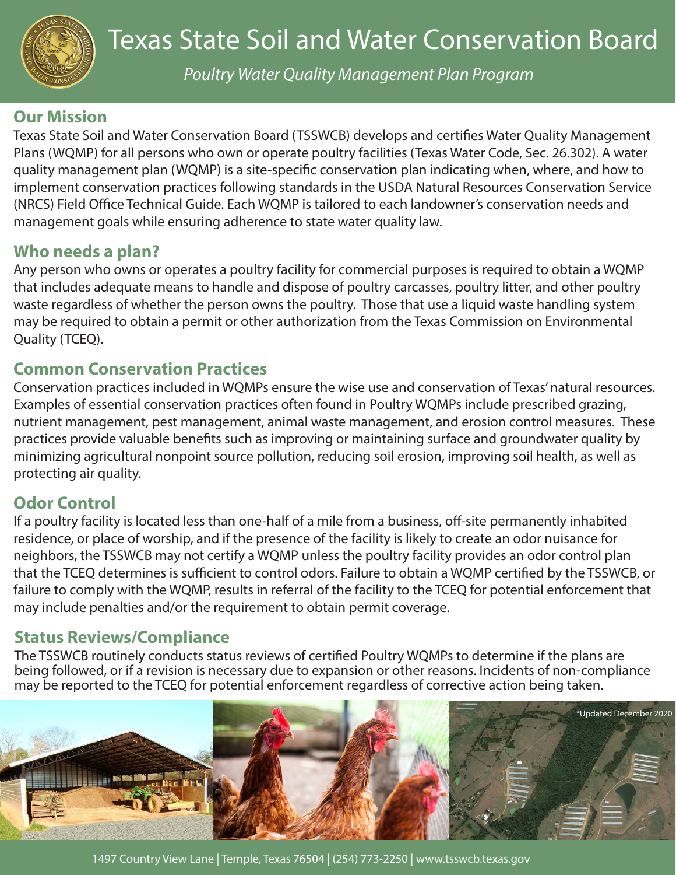

*Poultry Water Quality Management Plan Program*

## **Our Mission**

Texas State Soil and Water Conservation Board (TSSWCB) develops and certifies Water Quality Management Plans (WQMP) for all persons who own or operate poultry facilities (Texas Water Code, Sec. 26.302). A water quality management plan (WQMP) is a site-specific conservation plan indicating when, where, and how to implement conservation practices following standards in the USDA Natural Resources Conservation Service (NRCS) Field Office Technical Guide. Each WQMP is tailored to each landowner's conservation needs and management goals while ensuring adherence to state water quality law.

## **Who needs a plan?**

Any person who owns or operates a poultry facility for commercial purposes is required to obtain a WQMP that includes adequate means to handle and dispose of poultry carcasses, poultry litter, and other poultry waste regardless of whether the person owns the poultry. Those that use a liquid waste handling system may be required to obtain a permit or other authorization from the Texas Commission on Environmental Quality (TCEQ).

#### **Common Conservation Practices**

Conservation practices included in WQMPs ensure the wise use and conservation of Texas' natural resources. Examples of essential conservation practices often found in Poultry WQMPs include prescribed grazing, nutrient management, pest management, animal waste management, and erosion control measures. These practices provide valuable benefits such as improving or maintaining surface and groundwater quality by minimizing agricultural nonpoint source pollution, reducing soil erosion, improving soil health, as well as protecting air quality.

## **Odor Control**

If a poultry facility is located less than one-half of a mile from a business, off-site permanently inhabited residence, or place of worship, and if the presence of the facility is likely to create an odor nuisance for neighbors, the TSSWCB may not certify a WQMP unless the poultry facility provides an odor control plan that the TCEQ determines is sufficient to control odors. Failure to obtain a WQMP certified by the TSSWCB, or failure to comply with the WQMP, results in referral of the facility to the TCEQ for potential enforcement that may include penalties and/or the requirement to obtain permit coverage.

## **Status Reviews/Compliance**

The TSSWCB routinely conducts status reviews of certified Poultry WQMPs to determine if the plans are being followed, or if a revision is necessary due to expansion or other reasons. Incidents of non-compliance may be reported to the TCEQ for potential enforcement regardless of corrective action being taken.